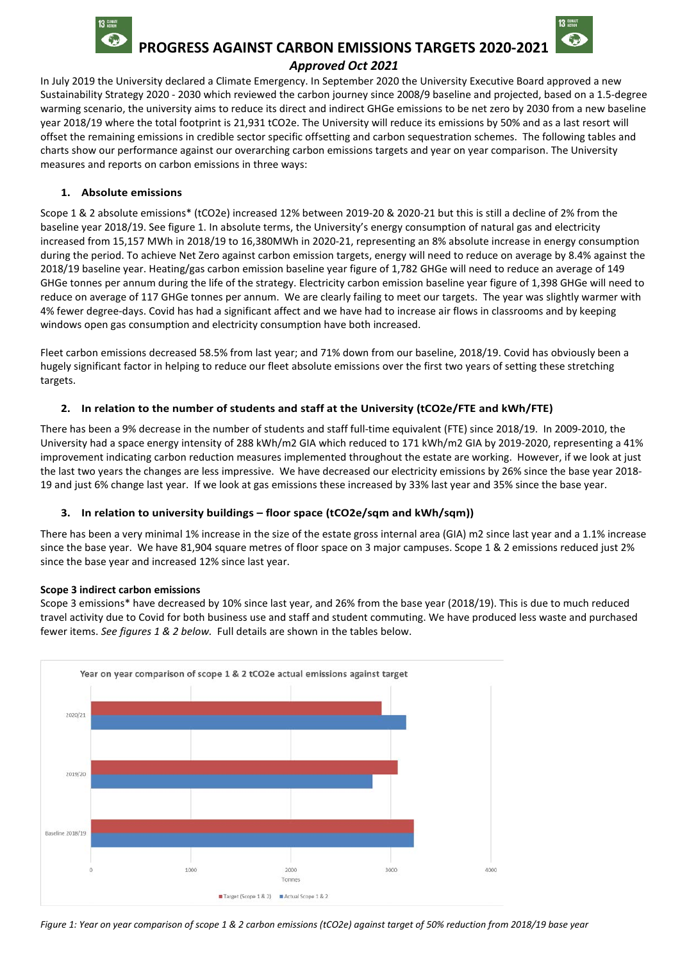

 **PROGRESS AGAINST CARBON EMISSIONS TARGETS 2020-2021** 

### *Approved Oct 2021*

In July 2019 the University declared a Climate Emergency. In September 2020 the University Executive Board approved a new Sustainability Strategy 2020 - 2030 which reviewed the carbon journey since 2008/9 baseline and projected, based on a 1.5-degree warming scenario, the university aims to reduce its direct and indirect GHGe emissions to be net zero by 2030 from a new baseline year 2018/19 where the total footprint is 21,931 tCO2e. The University will reduce its emissions by 50% and as a last resort will offset the remaining emissions in credible sector specific offsetting and carbon sequestration schemes. The following tables and charts show our performance against our overarching carbon emissions targets and year on year comparison. The University measures and reports on carbon emissions in three ways:

### **1. Absolute emissions**

Scope 1 & 2 absolute emissions\* (tCO2e) increased 12% between 2019-20 & 2020-21 but this is still a decline of 2% from the baseline year 2018/19. See figure 1. In absolute terms, the University's energy consumption of natural gas and electricity increased from 15,157 MWh in 2018/19 to 16,380MWh in 2020-21, representing an 8% absolute increase in energy consumption during the period. To achieve Net Zero against carbon emission targets, energy will need to reduce on average by 8.4% against the 2018/19 baseline year. Heating/gas carbon emission baseline year figure of 1,782 GHGe will need to reduce an average of 149 GHGe tonnes per annum during the life of the strategy. Electricity carbon emission baseline year figure of 1,398 GHGe will need to reduce on average of 117 GHGe tonnes per annum. We are clearly failing to meet our targets. The year was slightly warmer with 4% fewer degree-days. Covid has had a significant affect and we have had to increase air flows in classrooms and by keeping windows open gas consumption and electricity consumption have both increased.

Fleet carbon emissions decreased 58.5% from last year; and 71% down from our baseline, 2018/19. Covid has obviously been a hugely significant factor in helping to reduce our fleet absolute emissions over the first two years of setting these stretching targets.

### **2. In relation to the number of students and staff at the University (tCO2e/FTE and kWh/FTE)**

There has been a 9% decrease in the number of students and staff full-time equivalent (FTE) since 2018/19. In 2009-2010, the University had a space energy intensity of 288 kWh/m2 GIA which reduced to 171 kWh/m2 GIA by 2019-2020, representing a 41% improvement indicating carbon reduction measures implemented throughout the estate are working. However, if we look at just the last two years the changes are less impressive. We have decreased our electricity emissions by 26% since the base year 2018- 19 and just 6% change last year. If we look at gas emissions these increased by 33% last year and 35% since the base year.

### **3. In relation to university buildings – floor space (tCO2e/sqm and kWh/sqm))**

There has been a very minimal 1% increase in the size of the estate gross internal area (GIA) m2 since last year and a 1.1% increase since the base year. We have 81,904 square metres of floor space on 3 major campuses. Scope 1 & 2 emissions reduced just 2% since the base year and increased 12% since last year.

#### **Scope 3 indirect carbon emissions**

Scope 3 emissions\* have decreased by 10% since last year, and 26% from the base year (2018/19). This is due to much reduced travel activity due to Covid for both business use and staff and student commuting. We have produced less waste and purchased fewer items. *See figures 1 & 2 below.* Full details are shown in the tables below.



*Figure 1: Year on year comparison of scope 1 & 2 carbon emissions (tCO2e) against target of 50% reduction from 2018/19 base year*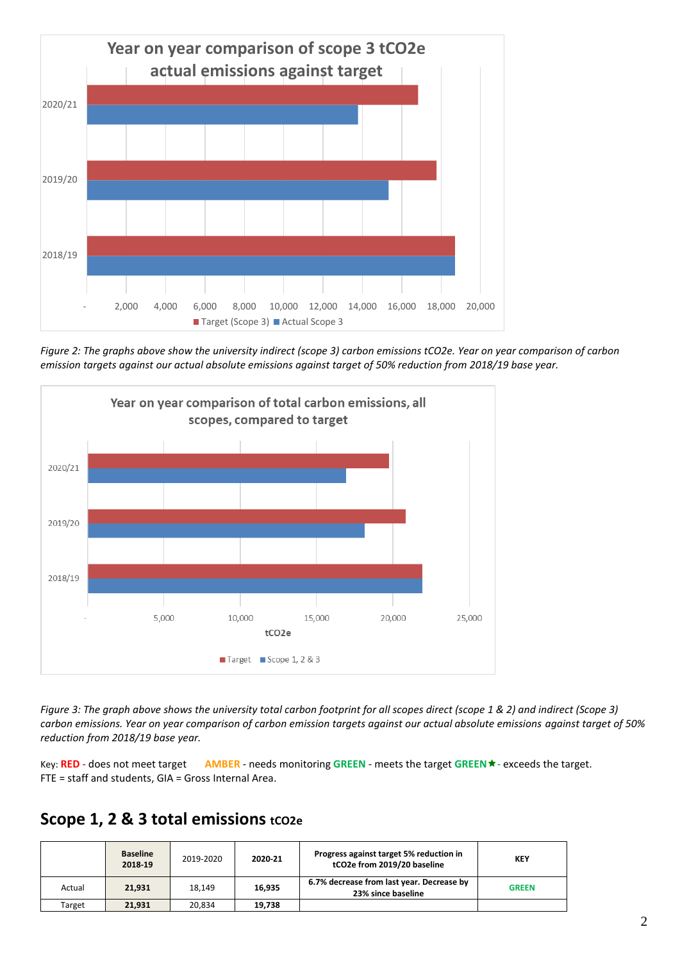

*Figure 2: The graphs above show the university indirect (scope 3) carbon emissions tCO2e. Year on year comparison of carbon emission targets against our actual absolute emissions against target of 50% reduction from 2018/19 base year.*



*Figure 3: The graph above shows the university total carbon footprint for all scopes direct (scope 1 & 2) and indirect (Scope 3) carbon emissions. Year on year comparison of carbon emission targets against our actual absolute emissions against target of 50% reduction from 2018/19 base year.*

Key: **RED** - does not meet target **AMBER** - needs monitoring **GREEN** - meets the target **GREEN**- exceeds the target. FTE = staff and students, GIA = Gross Internal Area.

# Scope 1, 2 & 3 total emissions tco2e

|        | <b>Baseline</b><br>2018-19 | 2019-2020 | 2020-21 | Progress against target 5% reduction in<br>tCO2e from 2019/20 baseline | <b>KEY</b>   |
|--------|----------------------------|-----------|---------|------------------------------------------------------------------------|--------------|
| Actual | 21.931                     | 18.149    | 16.935  | 6.7% decrease from last year. Decrease by<br>23% since baseline        | <b>GREEN</b> |
| Target | 21.931                     | 20.834    | 19.738  |                                                                        |              |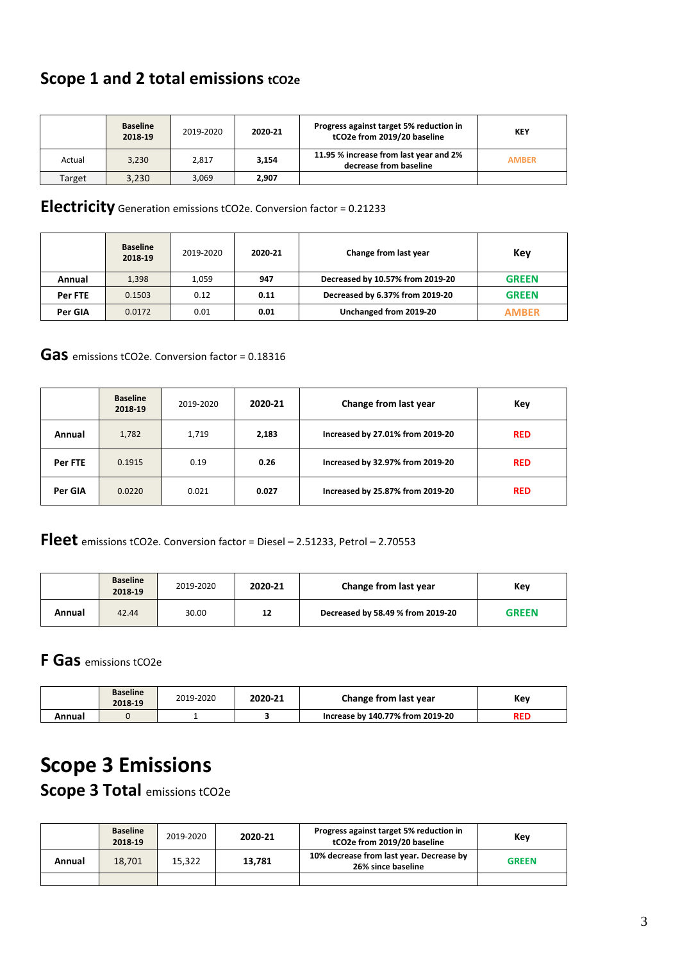# **Scope 1 and 2 total emissions tco2e**

|        | <b>Baseline</b><br>2018-19 | 2019-2020 | 2020-21 | Progress against target 5% reduction in<br>tCO2e from 2019/20 baseline | <b>KEY</b>   |
|--------|----------------------------|-----------|---------|------------------------------------------------------------------------|--------------|
| Actual | 3.230                      | 2.817     | 3.154   | 11.95 % increase from last year and 2%<br>decrease from baseline       | <b>AMBER</b> |
| Target | 3,230                      | 3,069     | 2.907   |                                                                        |              |

## **Electricity** Generation emissions tCO2e. Conversion factor <sup>=</sup> 0.21233

|         | <b>Baseline</b><br>2018-19 | 2019-2020 | 2020-21 | Change from last year            | Kev          |
|---------|----------------------------|-----------|---------|----------------------------------|--------------|
| Annual  | 1,398                      | 1.059     | 947     | Decreased by 10.57% from 2019-20 | <b>GREEN</b> |
| Per FTE | 0.1503                     | 0.12      | 0.11    | Decreased by 6.37% from 2019-20  | <b>GREEN</b> |
| Per GIA | 0.0172                     | 0.01      | 0.01    | Unchanged from 2019-20           | <b>AMBER</b> |

## **Gas** emissions tCO2e. Conversion factor = 0.18316

|         | <b>Baseline</b><br>2018-19 | 2019-2020 | 2020-21 | Change from last year            | Key        |
|---------|----------------------------|-----------|---------|----------------------------------|------------|
| Annual  | 1,782                      | 1,719     | 2,183   | Increased by 27.01% from 2019-20 | <b>RED</b> |
| Per FTE | 0.1915                     | 0.19      | 0.26    | Increased by 32.97% from 2019-20 | <b>RED</b> |
| Per GIA | 0.0220                     | 0.021     | 0.027   | Increased by 25.87% from 2019-20 | <b>RED</b> |

**Fleet** emissions tCO2e. Conversion factor = Diesel – 2.51233, Petrol – 2.70553

|        | <b>Baseline</b><br>2018-19 | 2019-2020 | 2020-21 | Change from last year             | Key          |
|--------|----------------------------|-----------|---------|-----------------------------------|--------------|
| Annual | 42.44                      | 30.00     | 12      | Decreased by 58.49 % from 2019-20 | <b>GREEN</b> |

# **F Gas** emissions tCO2e

|        | <b>Baseline</b><br>2018-19 | 2019-2020 | 2020-21 | Change from last year            | Key |
|--------|----------------------------|-----------|---------|----------------------------------|-----|
| Annual |                            |           |         | Increase by 140.77% from 2019-20 | RED |

# **Scope 3 Emissions**

**Scope 3 Total** emissions tCO2e

|        | <b>Baseline</b><br>2018-19 | 2019-2020 | 2020-21 | Progress against target 5% reduction in<br>tCO2e from 2019/20 baseline | Kev          |
|--------|----------------------------|-----------|---------|------------------------------------------------------------------------|--------------|
| Annual | 18.701                     | 15.322    | 13.781  | 10% decrease from last year. Decrease by<br>26% since baseline         | <b>GREEN</b> |
|        |                            |           |         |                                                                        |              |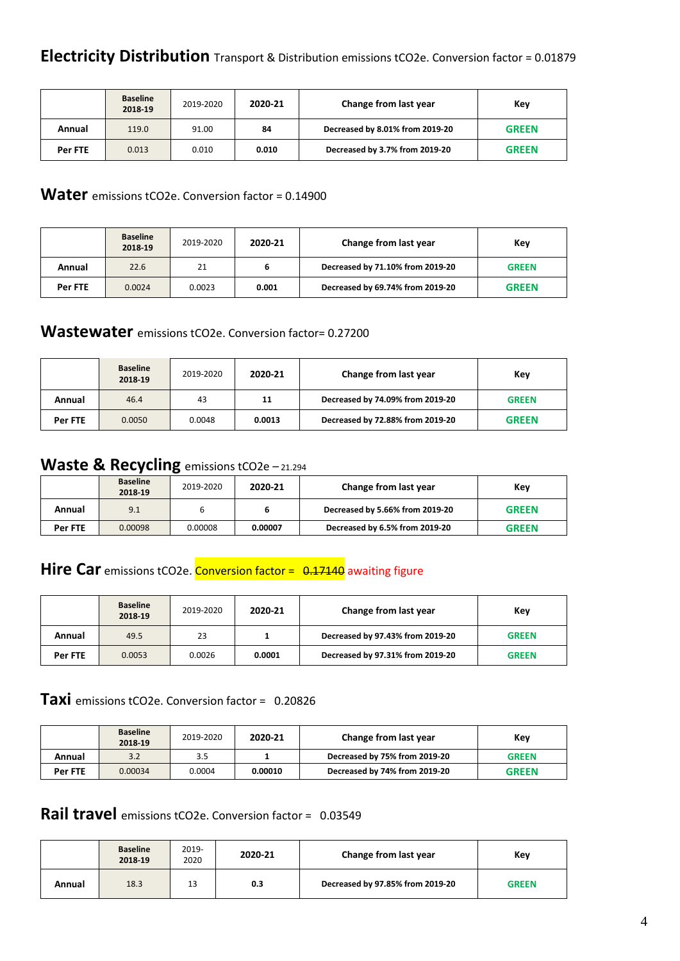|         | <b>Baseline</b><br>2018-19 | 2019-2020 | 2020-21 | Change from last year           | Kev          |
|---------|----------------------------|-----------|---------|---------------------------------|--------------|
| Annual  | 119.0                      | 91.00     | 84      | Decreased by 8.01% from 2019-20 | <b>GREEN</b> |
| Per FTE | 0.013                      | 0.010     | 0.010   | Decreased by 3.7% from 2019-20  | <b>GREEN</b> |

## **Water** emissions tCO2e. Conversion factor = 0.14900

|         | <b>Baseline</b><br>2018-19 | 2019-2020 | 2020-21 | Change from last year            | Key          |
|---------|----------------------------|-----------|---------|----------------------------------|--------------|
| Annual  | 22.6                       | 21        | ь       | Decreased by 71.10% from 2019-20 | <b>GREEN</b> |
| Per FTE | 0.0024                     | 0.0023    | 0.001   | Decreased by 69.74% from 2019-20 | <b>GREEN</b> |

## **Wastewater** emissions tCO2e. Conversion factor= 0.27200

|         | <b>Baseline</b><br>2018-19 | 2019-2020 | 2020-21 | Change from last year            | Key          |
|---------|----------------------------|-----------|---------|----------------------------------|--------------|
| Annual  | 46.4                       | 43        | 11      | Decreased by 74.09% from 2019-20 | <b>GREEN</b> |
| Per FTE | 0.0050                     | 0.0048    | 0.0013  | Decreased by 72.88% from 2019-20 | <b>GREEN</b> |

# Waste & Recycling emissions tCO2e - 21.294

|         | <b>Baseline</b><br>2018-19 | 2019-2020 | 2020-21 | Change from last year           | Key          |
|---------|----------------------------|-----------|---------|---------------------------------|--------------|
| Annual  | 9.1                        |           |         | Decreased by 5.66% from 2019-20 | <b>GREEN</b> |
| Per FTE | 0.00098                    | 0.00008   | 0.00007 | Decreased by 6.5% from 2019-20  | <b>GREEN</b> |

# **Hire Car** emissions tCO2e. Conversion factor = 0.17140 awaiting figure

|         | <b>Baseline</b><br>2018-19 | 2019-2020 | 2020-21 | Change from last year            | Key          |
|---------|----------------------------|-----------|---------|----------------------------------|--------------|
| Annual  | 49.5                       | 23        |         | Decreased by 97.43% from 2019-20 | <b>GREEN</b> |
| Per FTE | 0.0053                     | 0.0026    | 0.0001  | Decreased by 97.31% from 2019-20 | <b>GREEN</b> |

## **Taxi** emissions tCO2e. Conversion factor = 0.20826

|         | <b>Baseline</b><br>2018-19 | 2019-2020 | 2020-21 | Change from last year         | Kev          |
|---------|----------------------------|-----------|---------|-------------------------------|--------------|
| Annual  | 3.2                        | 3.5       |         | Decreased by 75% from 2019-20 | <b>GREEN</b> |
| Per FTE | 0.00034                    | 0.0004    | 0.00010 | Decreased by 74% from 2019-20 | <b>GREEN</b> |

# **Rail travel** emissions tCO2e. Conversion factor = 0.03549

|        | <b>Baseline</b><br>2018-19 | 2019-<br>2020 | 2020-21 | Change from last year            | Key          |
|--------|----------------------------|---------------|---------|----------------------------------|--------------|
| Annual | 18.3                       | 13            | 0.3     | Decreased by 97.85% from 2019-20 | <b>GREEN</b> |